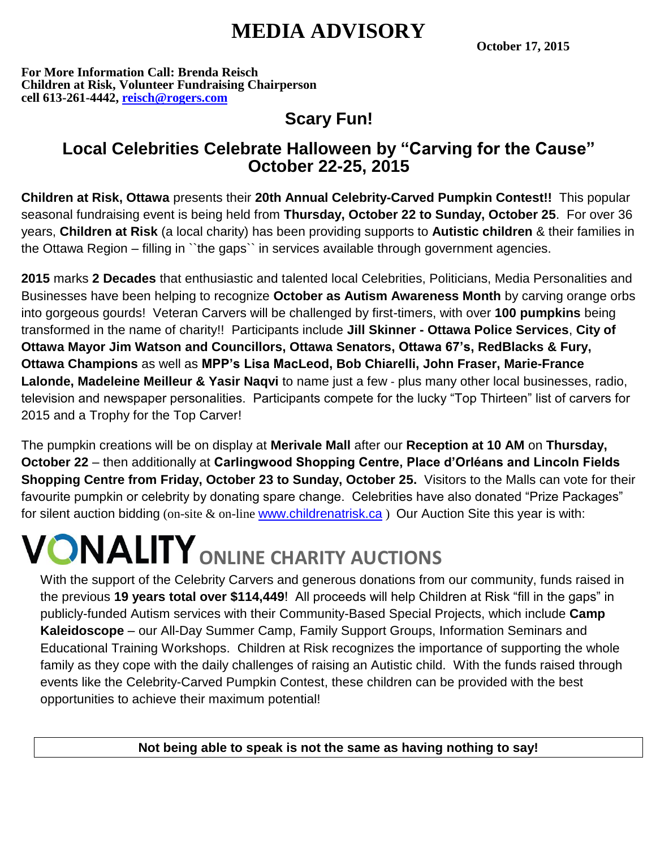## **MEDIA ADVISORY**

**October 17, 2015**

**For More Information Call: Brenda Reisch Children at Risk, Volunteer Fundraising Chairperson cell 613-261-4442, [reisch@rogers.com](mailto:reisch@rogers.com)**

## **Scary Fun!**

### **Local Celebrities Celebrate Halloween by "Carving for the Cause" October 22-25, 2015**

**Children at Risk, Ottawa** presents their **20th Annual Celebrity-Carved Pumpkin Contest!!** This popular seasonal fundraising event is being held from **Thursday, October 22 to Sunday, October 25**. For over 36 years, **Children at Risk** (a local charity) has been providing supports to **Autistic children** & their families in the Ottawa Region – filling in ``the gaps`` in services available through government agencies.

**2015** marks **2 Decades** that enthusiastic and talented local Celebrities, Politicians, Media Personalities and Businesses have been helping to recognize **October as Autism Awareness Month** by carving orange orbs into gorgeous gourds! Veteran Carvers will be challenged by first-timers, with over **100 pumpkins** being transformed in the name of charity!! Participants include **Jill Skinner - Ottawa Police Services**, **City of Ottawa Mayor Jim Watson and Councillors, Ottawa Senators, Ottawa 67's, RedBlacks & Fury, Ottawa Champions** as well as **MPP's Lisa MacLeod, Bob Chiarelli, John Fraser, Marie-France Lalonde, Madeleine Meilleur & Yasir Naqvi** to name just a few - plus many other local businesses, radio, television and newspaper personalities. Participants compete for the lucky "Top Thirteen" list of carvers for 2015 and a Trophy for the Top Carver!

The pumpkin creations will be on display at **Merivale Mall** after our **Reception at 10 AM** on **Thursday, October 22** – then additionally at **Carlingwood Shopping Centre, Place d'Orléans and Lincoln Fields Shopping Centre from Friday, October 23 to Sunday, October 25.** Visitors to the Malls can vote for their favourite pumpkin or celebrity by donating spare change. Celebrities have also donated "Prize Packages" for silent auction bidding (on-site & on-line [www.childrenatrisk.ca](http://www.childrenatrisk.ca/)) Our Auction Site this year is with:

# **ONALITY** ONLINE CHARITY AUCTIONS

With the support of the Celebrity Carvers and generous donations from our community, funds raised in the previous **19 years total over \$114,449**! All proceeds will help Children at Risk "fill in the gaps" in publicly-funded Autism services with their Community-Based Special Projects, which include **Camp Kaleidoscope** – our All-Day Summer Camp, Family Support Groups, Information Seminars and Educational Training Workshops. Children at Risk recognizes the importance of supporting the whole family as they cope with the daily challenges of raising an Autistic child. With the funds raised through events like the Celebrity-Carved Pumpkin Contest, these children can be provided with the best opportunities to achieve their maximum potential!

**Not being able to speak is not the same as having nothing to say!**